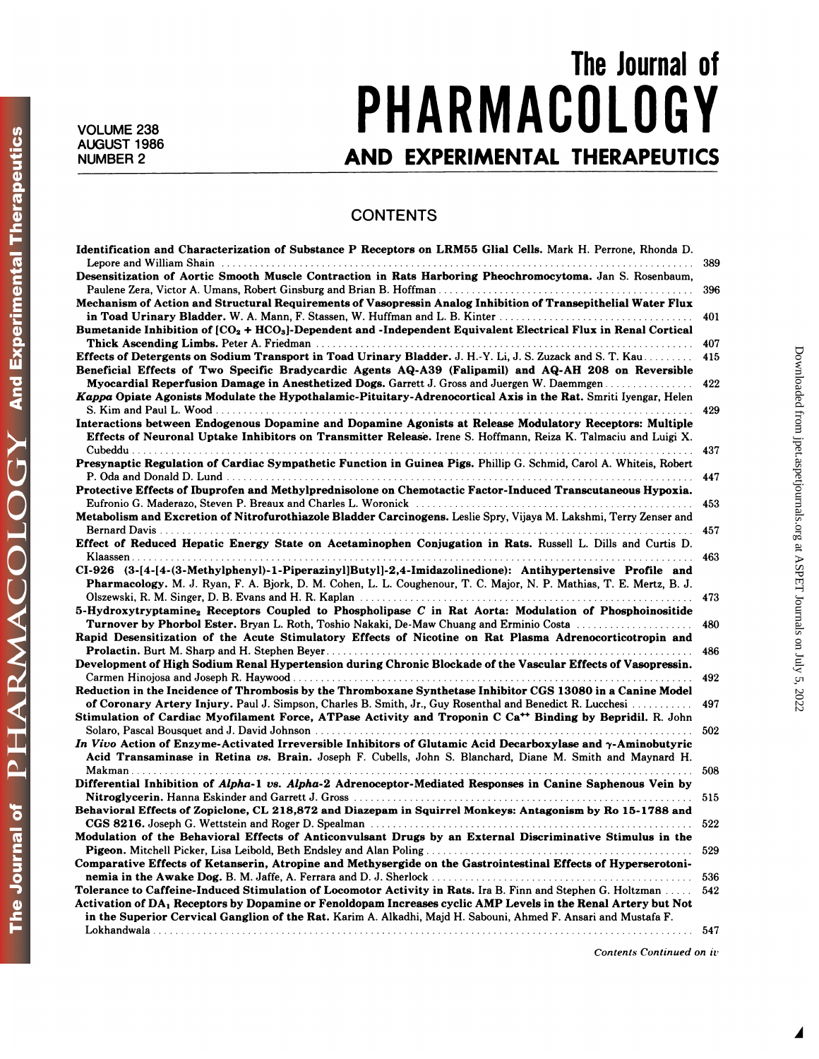## The Journal of<br>
nine Started To Alignment of The Started To Alignment Started To Alignment Corporation and To Alignment Corpo<br>
The Started To Alignment Corporation of the Started To Alignment Corporation and To Alignment C VOLUME 238 **PHARMACULUGY** The Journal of<br>AUGUST 1986 **PHARMACOLOGY**<br>AND EXPERIMENTAL THERAPEUTICS

## **CONTENTS**

| <b>CONTENTS</b>                                                                                                                                                                                                 |     |
|-----------------------------------------------------------------------------------------------------------------------------------------------------------------------------------------------------------------|-----|
| Identification and Characterization of Substance P Receptors on LRM55 Glial Cells. Mark H. Perrone, Rhonda D.                                                                                                   |     |
|                                                                                                                                                                                                                 | 389 |
| Desensitization of Aortic Smooth Muscle Contraction in Rats Harboring Pheochromocytoma. Jan S. Rosenbaum,                                                                                                       |     |
|                                                                                                                                                                                                                 | 396 |
| Mechanism of Action and Structural Requirements of Vasopressin Analog Inhibition of Transepithelial Water Flux                                                                                                  |     |
|                                                                                                                                                                                                                 | 401 |
| Bumetanide Inhibition of $[CO_2 + HCO_3]$ -Dependent and -Independent Equivalent Electrical Flux in Renal Cortical                                                                                              |     |
|                                                                                                                                                                                                                 | 407 |
| Effects of Detergents on Sodium Transport in Toad Urinary Bladder. J. H.-Y. Li, J. S. Zuzack and S. T. Kau                                                                                                      | 415 |
| Beneficial Effects of Two Specific Bradycardic Agents AQ-A39 (Falipamil) and AQ-AH 208 on Reversible                                                                                                            |     |
| Myocardial Reperfusion Damage in Anesthetized Dogs. Garrett J. Gross and Juergen W. Daemmgen<br>Kappa Opiate Agonists Modulate the Hypothalamic-Pituitary-Adrenocortical Axis in the Rat. Smriti Iyengar, Helen | 422 |
|                                                                                                                                                                                                                 | 429 |
| Interactions between Endogenous Dopamine and Dopamine Agonists at Release Modulatory Receptors: Multiple                                                                                                        |     |
| Effects of Neuronal Uptake Inhibitors on Transmitter Release. Irene S. Hoffmann, Reiza K. Talmaciu and Luigi X.                                                                                                 |     |
|                                                                                                                                                                                                                 | 437 |
| Presynaptic Regulation of Cardiac Sympathetic Function in Guinea Pigs. Phillip G. Schmid, Carol A. Whiteis, Robert                                                                                              |     |
|                                                                                                                                                                                                                 | 447 |
| Protective Effects of Ibuprofen and Methylprednisolone on Chemotactic Factor-Induced Transcutaneous Hypoxia.                                                                                                    |     |
|                                                                                                                                                                                                                 | 453 |
| Metabolism and Excretion of Nitrofurothiazole Bladder Carcinogens. Leslie Spry, Vijaya M. Lakshmi, Terry Zenser and                                                                                             |     |
|                                                                                                                                                                                                                 | 457 |
| Effect of Reduced Hepatic Energy State on Acetaminophen Conjugation in Rats. Russell L. Dills and Curtis D.                                                                                                     |     |
|                                                                                                                                                                                                                 | 463 |
| CI-926 (3-[4-[4-(3-Methylphenyl)-1-Piperazinyl]Butyl]-2,4-Imidazolinedione): Antihypertensive Profile and                                                                                                       |     |
| Pharmacology. M. J. Ryan, F. A. Bjork, D. M. Cohen, L. L. Coughenour, T. C. Major, N. P. Mathias, T. E. Mertz, B. J.                                                                                            |     |
| 5-Hydroxytryptamine <sub>2</sub> Receptors Coupled to Phospholipase C in Rat Aorta: Modulation of Phosphoinositide                                                                                              | 473 |
| Turnover by Phorbol Ester. Bryan L. Roth, Toshio Nakaki, De-Maw Chuang and Erminio Costa                                                                                                                        | 480 |
| Rapid Desensitization of the Acute Stimulatory Effects of Nicotine on Rat Plasma Adrenocorticotropin and                                                                                                        |     |
|                                                                                                                                                                                                                 | 486 |
| Development of High Sodium Renal Hypertension during Chronic Blockade of the Vascular Effects of Vasopressin.                                                                                                   |     |
|                                                                                                                                                                                                                 | 492 |
| Reduction in the Incidence of Thrombosis by the Thromboxane Synthetase Inhibitor CGS 13080 in a Canine Model                                                                                                    |     |
| of Coronary Artery Injury. Paul J. Simpson, Charles B. Smith, Jr., Guy Rosenthal and Benedict R. Lucchesi <i>marrian</i>                                                                                        | 497 |
| Stimulation of Cardiac Myofilament Force, ATPase Activity and Troponin C Ca <sup>++</sup> Binding by Bepridil. R. John                                                                                          |     |
|                                                                                                                                                                                                                 | 502 |
| In Vivo Action of Enzyme-Activated Irreversible Inhibitors of Glutamic Acid Decarboxylase and $\gamma$ -Aminobutyric                                                                                            |     |
| Acid Transaminase in Retina vs. Brain. Joseph F. Cubells, John S. Blanchard, Diane M. Smith and Maynard H.                                                                                                      |     |
| Makman                                                                                                                                                                                                          | 508 |
| Differential Inhibition of Alpha-1 vs. Alpha-2 Adrenoceptor-Mediated Responses in Canine Saphenous Vein by                                                                                                      |     |
| Behavioral Effects of Zopiclone, CL 218,872 and Diazepam in Squirrel Monkeys: Antagonism by Ro 15-1788 and                                                                                                      |     |
|                                                                                                                                                                                                                 | 522 |
| Modulation of the Behavioral Effects of Anticonvulsant Drugs by an External Discriminative Stimulus in the                                                                                                      |     |
|                                                                                                                                                                                                                 | 529 |
| Comparative Effects of Ketanserin, Atropine and Methysergide on the Gastrointestinal Effects of Hyperserotoni-                                                                                                  |     |
|                                                                                                                                                                                                                 | 536 |
| Tolerance to Caffeine-Induced Stimulation of Locomotor Activity in Rats. Ira B. Finn and Stephen G. Holtzman                                                                                                    | 542 |
| Activation of DA <sub>1</sub> Receptors by Dopamine or Fenoldopam Increases cyclic AMP Levels in the Renal Artery but Not                                                                                       |     |
| in the Superior Cervical Ganglion of the Rat. Karim A. Alkadhi, Majd H. Sabouni, Ahmed F. Ansari and Mustafa F.                                                                                                 |     |
|                                                                                                                                                                                                                 | 547 |